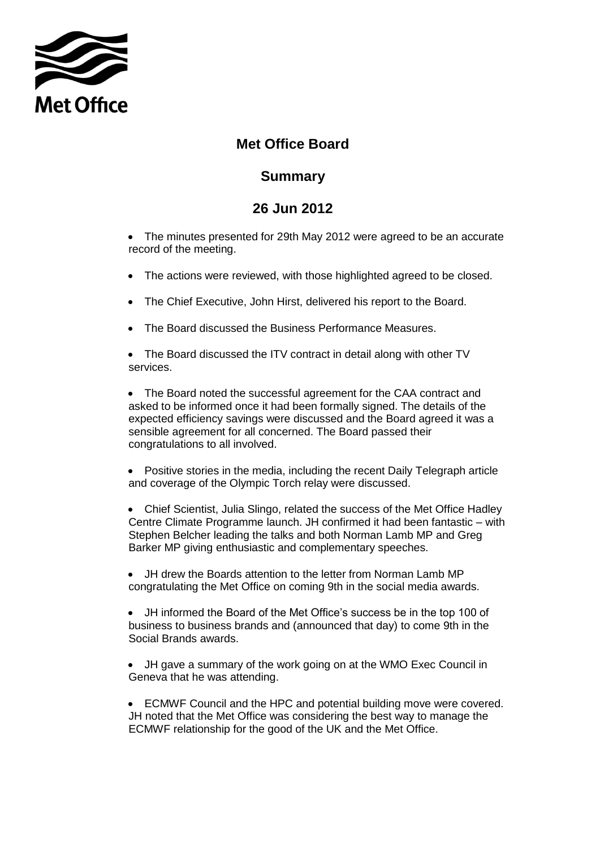

## **Met Office Board**

## **Summary**

## **26 Jun 2012**

• The minutes presented for 29th May 2012 were agreed to be an accurate record of the meeting.

- The actions were reviewed, with those highlighted agreed to be closed.
- The Chief Executive, John Hirst, delivered his report to the Board.
- The Board discussed the Business Performance Measures.

• The Board discussed the ITV contract in detail along with other TV services.

• The Board noted the successful agreement for the CAA contract and asked to be informed once it had been formally signed. The details of the expected efficiency savings were discussed and the Board agreed it was a sensible agreement for all concerned. The Board passed their congratulations to all involved.

 Positive stories in the media, including the recent Daily Telegraph article and coverage of the Olympic Torch relay were discussed.

 Chief Scientist, Julia Slingo, related the success of the Met Office Hadley Centre Climate Programme launch. JH confirmed it had been fantastic – with Stephen Belcher leading the talks and both Norman Lamb MP and Greg Barker MP giving enthusiastic and complementary speeches.

 JH drew the Boards attention to the letter from Norman Lamb MP congratulating the Met Office on coming 9th in the social media awards.

 JH informed the Board of the Met Office's success be in the top 100 of business to business brands and (announced that day) to come 9th in the Social Brands awards.

 JH gave a summary of the work going on at the WMO Exec Council in Geneva that he was attending.

 ECMWF Council and the HPC and potential building move were covered. JH noted that the Met Office was considering the best way to manage the ECMWF relationship for the good of the UK and the Met Office.